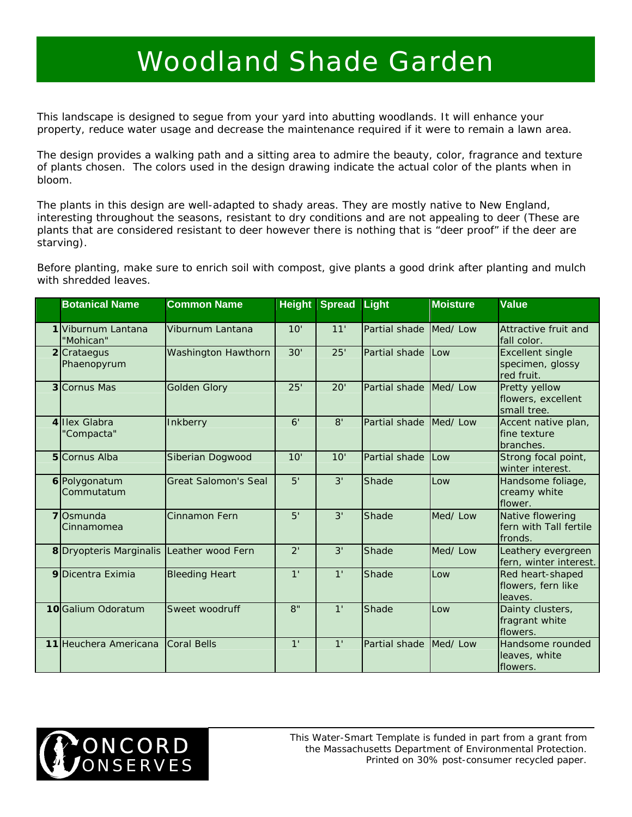## Woodland Shade Garden

This landscape is designed to segue from your yard into abutting woodlands. It will enhance your property, reduce water usage and decrease the maintenance required if it were to remain a lawn area.

The design provides a walking path and a sitting area to admire the beauty, color, fragrance and texture of plants chosen. The colors used in the design drawing indicate the actual color of the plants when in bloom.

The plants in this design are well-adapted to shady areas. They are mostly native to New England, interesting throughout the seasons, resistant to dry conditions and are not appealing to deer (These are plants that are considered resistant to deer however there is nothing that is "deer proof" if the deer are starving).

Before planting, make sure to enrich soil with compost, give plants a good drink after planting and mulch with shredded leaves.

| <b>Botanical Name</b>          | <b>Common Name</b>          | <b>Height</b>  | Spread Light   |                        | <b>Moisture</b> | <b>Value</b>                                              |
|--------------------------------|-----------------------------|----------------|----------------|------------------------|-----------------|-----------------------------------------------------------|
| Viburnum Lantana<br>"Mohican"  | Viburnum Lantana            | 10'            | 11'            | Partial shade          | Med/Low         | Attractive fruit and<br>fall color.                       |
| 2 Crataegus<br>Phaenopyrum     | Washington Hawthorn         | 30'            | 25'            | Partial shade          | Low             | <b>Excellent single</b><br>specimen, glossy<br>red fruit. |
| 3 Cornus Mas                   | <b>Golden Glory</b>         | 25'            | 20'            | Partial shade Med/ Low |                 | Pretty yellow<br>flowers, excellent<br>small tree.        |
| 4 Illex Glabra<br>"Compacta"   | Inkberry                    | 6'             | 8'             | Partial shade Med/ Low |                 | Accent native plan,<br>fine texture<br>branches.          |
| 5 Cornus Alba                  | Siberian Dogwood            | 10'            | 10'            | Partial shade          | Low             | Strong focal point,<br>winter interest.                   |
| 6 Polygonatum<br>Commutatum    | <b>Great Salomon's Seal</b> | 5'             | 3'             | Shade                  | Low             | Handsome foliage,<br>creamy white<br>flower.              |
| <b>7</b> Osmunda<br>Cinnamomea | Cinnamon Fern               | 5'             | 3'             | Shade                  | Med/Low         | Native flowering<br>fern with Tall fertile<br>fronds.     |
| 8 Dryopteris Marginalis        | Leather wood Fern           | 2'             | 3'             | Shade                  | Med/Low         | Leathery evergreen<br>fern, winter interest.              |
| 9 Dicentra Eximia              | <b>Bleeding Heart</b>       | 1 <sup>1</sup> | 1 <sup>1</sup> | Shade                  | Low             | Red heart-shaped<br>flowers, fern like<br>leaves.         |
| 10Galium Odoratum              | Sweet woodruff              | 8"             | 1 <sup>1</sup> | Shade                  | Low             | Dainty clusters,<br>fragrant white<br>flowers.            |
| 11 Heuchera Americana          | <b>Coral Bells</b>          | 1 <sup>1</sup> | 1 <sup>1</sup> | Partial shade Med/Low  |                 | Handsome rounded<br>leaves, white<br>flowers.             |



*This Water-Smart Template is funded in part from a grant from the Massachusetts Department of Environmental Protection. Printed on 30% post-consumer recycled paper.*